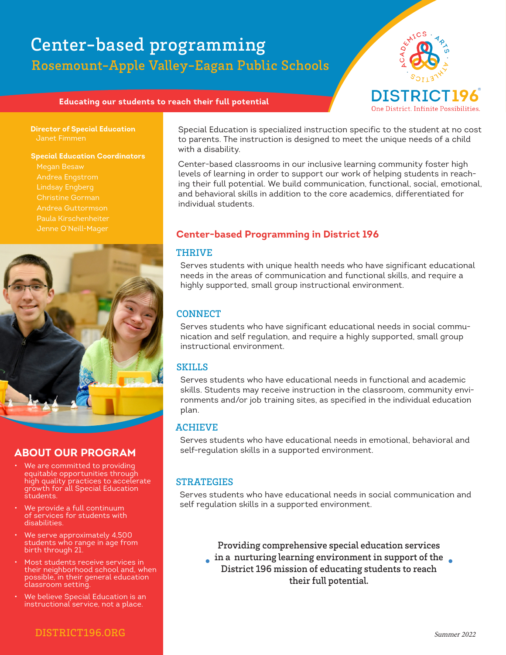# Rosemount-Apple Valley-Eagan Public Schools Center-based programming



#### **Educating our students to reach their full potential**

**Director of Special Education** Janet Fimmen

#### **Special Education Coordinators**

 Megan Besaw Andrea Engstrom Christine Gorman Andrea Guttormson Jenne O'Neill-Mager



### **ABOUT OUR PROGRAM**

- We are committed to providing equitable opportunities through high quality practices to accelerate growth for all Special Education students.
- We provide a full continuum of services for students with disabilities.
- We serve approximately 4,500 students who range in age from birth through 21.
- Most students receive services in their neighborhood school and, when possible, in their general education classroom setting.
- We believe Special Education is an instructional service, not a place.

Special Education is specialized instruction specific to the student at no cost to parents. The instruction is designed to meet the unique needs of a child with a disability.

Center-based classrooms in our inclusive learning community foster high levels of learning in order to support our work of helping students in reaching their full potential. We build communication, functional, social, emotional, and behavioral skills in addition to the core academics, differentiated for individual students.

### **Center-based Programming in District 196**

#### THRIVE

Serves students with unique health needs who have significant educational needs in the areas of communication and functional skills, and require a highly supported, small group instructional environment.

#### **CONNECT**

Serves students who have significant educational needs in social communication and self regulation, and require a highly supported, small group instructional environment.

#### SKILLS

Serves students who have educational needs in functional and academic skills. Students may receive instruction in the classroom, community environments and/or job training sites, as specified in the individual education plan.

#### ACHIEVE

Serves students who have educational needs in emotional, behavioral and self-regulation skills in a supported environment.

#### **STRATEGIES**

Serves students who have educational needs in social communication and self regulation skills in a supported environment.

Providing comprehensive special education services

in a nurturing learning environment in support of the  $\blacksquare$ District 196 mission of educating students to reach their full potential.